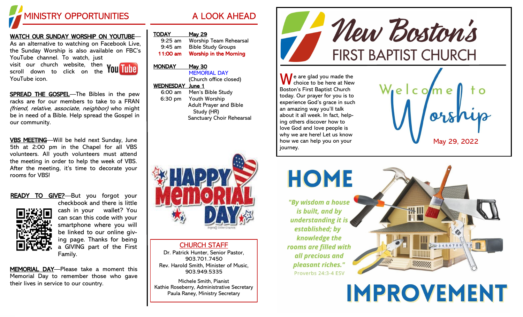

### <u>WATCH OUR SUNDAY WORSHIP ON YOUTUBE</u>—

As an alternative to watching on Facebook Live, the Sunday Worship is also available on FBC's YouTube channel. To watch, just visit our church website, then scroll down to click on the

SPREAD THE GOSPEL-The Bibles in the pew racks are for our members to take to a FRAN (friend, relative, associate, neighbor) who might be in need of a Bible. Help spread the Gospel in our community.

VBS MEETING-Will be held next Sunday, June 5th at 2:00 pm in the Chapel for all VBS volunteers. All youth volunteers must attend the meeting in order to help the week of VBS. After the meeting, it's time to decorate your rooms for VBS!

### READY TO GIVE?-But you forgot your



YouTube icon.

checkbook and there is little cash in your wallet? You can scan this code with your smartphone where you will be linked to our online giving page. Thanks for being a GIVING part of the First Family.

MEMORIAL DAY—Please take a moment this Memorial Day to remember those who gave their lives in service to our country.

| <b>TODAY</b> | <b>May 29</b> |
|--------------|---------------|
| 0.25cm       | Warshin Toom  |

| $9:25$ am | Worship Team Rehearsal        |
|-----------|-------------------------------|
| $9:45$ am | <b>Bible Study Groups</b>     |
| 11:00 am  | <b>Worship in the Morning</b> |

### MONDAY May 30 MEMORIAL DAY

(Church office closed)

#### WEDNESDAY June 1

6:00 am Men's Bible Study 6:30 pm Youth Worship Adult Prayer and Bible Study (HR) Sanctuary Choir Rehearsal



## CHURCH STAFF

Dr. Patrick Hunter, Senior Pastor, 903.701.7450 Rev. Harold Smith, Minister of Music, 903.949.5335

Michele Smith, Pianist Kathie Roseberry, Administrative Secretary Paula Raney, Ministry Secretary



 $\bigwedge$  e are glad you made the choice to be here at New Boston's First Baptist Church today. Our prayer for you is to experience God's grace in such an amazing way you'll talk about it all week. In fact, helping others discover how to love God and love people is why we are here! Let us know how we can help you on your journey.





**IMPROVEMENT**